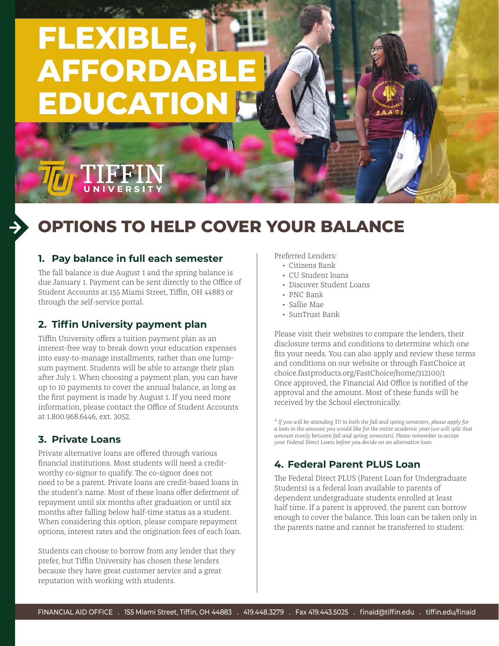# **FLEXIBLE, AFFORDABLE EDUCATION**

# **OPTIONS TO HELP COVER YOUR BALANCE**

#### **1. Pay balance in full each semester**

UNIVERSI

The fall balance is due August 1 and the spring balance is due January 1. Payment can be sent directly to the Office of Student Accounts at 155 Miami Street, Tiffin, OH 44883 or through the self-service portal.

#### **2. Tiffin University payment plan**

Tiffin University offers a tuition payment plan as an interest-free way to break down your education expenses into easy-to-manage installments, rather than one lumpsum payment. Students will be able to arrange their plan after July 1. When choosing a payment plan, you can have up to 10 payments to cover the annual balance, as long as the first payment is made by August 1. If you need more information, please contact the Office of Student Accounts at 1.800.968.6446, ext. 3052.

#### **3. Private Loans**

Private alternative loans are offered through various financial institutions. Most students will need a creditworthy co-signor to qualify. The co-signor does not need to be a parent. Private loans are credit-based loans in the student's name. Most of these loans offer deferment of repayment until six months after graduation or until six months after falling below half-time status as a student. When considering this option, please compare repayment options, interest rates and the origination fees of each loan.

Students can choose to borrow from any lender that they prefer, but Tiffin University has chosen these lenders because they have great customer service and a great reputation with working with students.

Preferred Lenders:

- Citizens Bank
- CU Student loans
- Discover Student Loans
- PNC Bank
- Sallie Mae
- SunTrust Bank

Please visit their websites to compare the lenders, their disclosure terms and conditions to determine which one fits your needs. You can also apply and review these terms and conditions on our website or through FastChoice at choice.fastproducts.org/FastChoice/home/312100/1 Once approved, the Financial Aid Office is notified of the approval and the amount. Most of these funds will be received by the School electronically.

*\* If you will be attending TU in both the fall and spring semesters, please apply for a loan in the amount you would like for the entire academic year (we will split that amount evenly between fall and spring semesters). Please remember to accept your Federal Direct Loans before you decide on an alternative loan.*

#### **4. Federal Parent PLUS Loan**

The Federal Direct PLUS (Parent Loan for Undergraduate Students) is a federal loan available to parents of dependent undergraduate students enrolled at least half time. If a parent is approved, the parent can borrow enough to cover the balance. This loan can be taken only in the parents name and cannot be transferred to student.